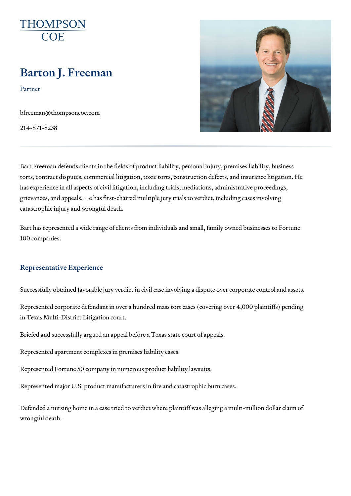# Barton J. Freeman

Partner

[bfreeman@thomps](mailto:bfreeman@thompsoncoe.com)oncoe.com

214-871-8238

Bart Freeman defends clients in the fields of product liability, personal inj torts, contract disputes, commercial litigation, toxic torts, construction de has experience in all aspects of civil litigation, including trials, mediation grievances, and appeals. He has first-chaired multiple jury trials to verdic catastrophic injury and wrongful death.

Bart has represented a wide range of clients from individuals and small, fa 100 companies.

#### Representative Experience

Successfully obtained favorable jury verdict in civil case involving a dispu

Represented corporate defendant in over a hundred mass tort cases (cover in Texas Multi-District Litigation court.

Briefed and successfully argued an appeal before a Texas state court of a

Represented apartment complexes in premises liability cases.

Represented Fortune 50 company in numerous product liability lawsuits.

Represented major U.S. product manufacturers in fire and catastrophic bur

Defended a nursing home in a case tried to verdict where plaintiff was alle wrongful death.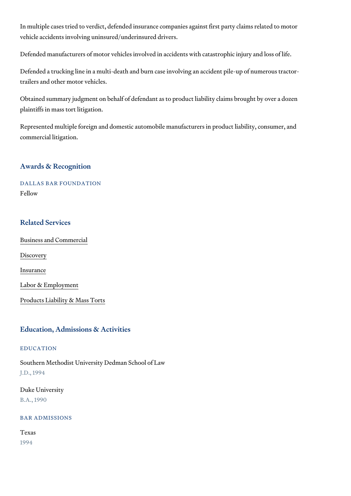In multiple cases tried to verdict, defended insurance companies against f vehicle accidents involving uninsured/underinsured drivers.

Defended manufacturers of motor vehicles involved in accidents with catas

Defended a trucking line in a multi-death and burn case involving an accid trailers and other motor vehicles.

Obtained summary judgment on behalf of defendant as to product liability plaintiffs in mass tort litigation.

Represented multiple foreign and domestic automobile manufacturers in pr commercial litigation.

#### Awards & Recognition

# DALLAS BAR FOUNDATION Fellow

# Related Services

[Business and C](https://www.thompsoncoe.com/people/barton-j-freeman/)ommercial

[Discov](https://www.thompsoncoe.com/people/barton-j-freeman/)ery

[Insura](https://www.thompsoncoe.com/people/barton-j-freeman/)nce

[Labor & Empl](https://www.thompsoncoe.com/people/barton-j-freeman/)oyment

[Products Liability &](https://www.thompsoncoe.com/people/barton-j-freeman/) Mass Torts

#### Education, Admissions & Activities

### EDUCATION

Southern Methodist University Dedman School of Law J.D., 1994

Duke University B.A., 1990

BAR ADMISSIONS

Texas

1994